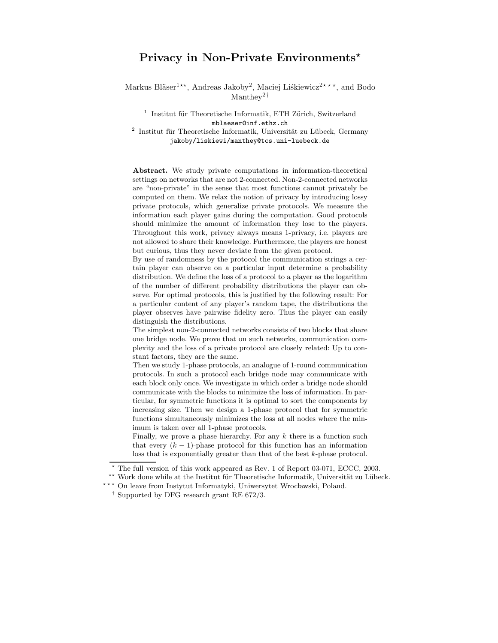# Privacy in Non-Private Environments<sup>\*</sup>

Markus Bläser<sup>1\*\*</sup>, Andreas Jakoby<sup>2</sup>, Maciej Liśkiewicz<sup>2\*\*\*</sup>, and Bodo Manthey<sup>2†</sup>

 $^{\rm 1}$  Institut für Theoretische Informatik, ETH Zürich, Switzerland mblaeser@inf.ethz.ch

 $2$  Institut für Theoretische Informatik, Universität zu Lübeck, Germany jakoby/liskiewi/manthey@tcs.uni-luebeck.de

Abstract. We study private computations in information-theoretical settings on networks that are not 2-connected. Non-2-connected networks are "non-private" in the sense that most functions cannot privately be computed on them. We relax the notion of privacy by introducing lossy private protocols, which generalize private protocols. We measure the information each player gains during the computation. Good protocols should minimize the amount of information they lose to the players. Throughout this work, privacy always means 1-privacy, i.e. players are not allowed to share their knowledge. Furthermore, the players are honest but curious, thus they never deviate from the given protocol.

By use of randomness by the protocol the communication strings a certain player can observe on a particular input determine a probability distribution. We define the loss of a protocol to a player as the logarithm of the number of different probability distributions the player can observe. For optimal protocols, this is justified by the following result: For a particular content of any player's random tape, the distributions the player observes have pairwise fidelity zero. Thus the player can easily distinguish the distributions.

The simplest non-2-connected networks consists of two blocks that share one bridge node. We prove that on such networks, communication complexity and the loss of a private protocol are closely related: Up to constant factors, they are the same.

Then we study 1-phase protocols, an analogue of 1-round communication protocols. In such a protocol each bridge node may communicate with each block only once. We investigate in which order a bridge node should communicate with the blocks to minimize the loss of information. In particular, for symmetric functions it is optimal to sort the components by increasing size. Then we design a 1-phase protocol that for symmetric functions simultaneously minimizes the loss at all nodes where the minimum is taken over all 1-phase protocols.

Finally, we prove a phase hierarchy. For any  $k$  there is a function such that every  $(k - 1)$ -phase protocol for this function has an information loss that is exponentially greater than that of the best k-phase protocol.

\*\* Work done while at the Institut für Theoretische Informatik, Universität zu Lübeck.

<sup>?</sup> The full version of this work appeared as Rev. 1 of Report 03-071, ECCC, 2003.

<sup>\*\*\*</sup> On leave from Instytut Informatyki, Uniwersytet Wrocławski, Poland. † Supported by DFG research grant RE 672/3.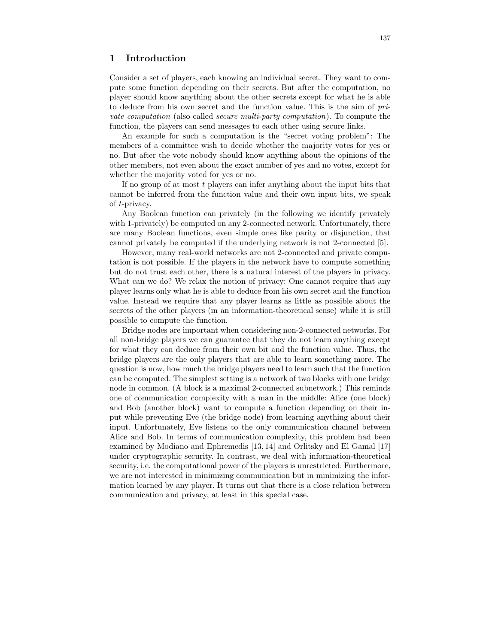### 1 Introduction

Consider a set of players, each knowing an individual secret. They want to compute some function depending on their secrets. But after the computation, no player should know anything about the other secrets except for what he is able to deduce from his own secret and the function value. This is the aim of private computation (also called secure multi-party computation). To compute the function, the players can send messages to each other using secure links.

An example for such a computation is the "secret voting problem": The members of a committee wish to decide whether the majority votes for yes or no. But after the vote nobody should know anything about the opinions of the other members, not even about the exact number of yes and no votes, except for whether the majority voted for yes or no.

If no group of at most  $t$  players can infer anything about the input bits that cannot be inferred from the function value and their own input bits, we speak of t-privacy.

Any Boolean function can privately (in the following we identify privately with 1-privately) be computed on any 2-connected network. Unfortunately, there are many Boolean functions, even simple ones like parity or disjunction, that cannot privately be computed if the underlying network is not 2-connected [5].

However, many real-world networks are not 2-connected and private computation is not possible. If the players in the network have to compute something but do not trust each other, there is a natural interest of the players in privacy. What can we do? We relax the notion of privacy: One cannot require that any player learns only what he is able to deduce from his own secret and the function value. Instead we require that any player learns as little as possible about the secrets of the other players (in an information-theoretical sense) while it is still possible to compute the function.

Bridge nodes are important when considering non-2-connected networks. For all non-bridge players we can guarantee that they do not learn anything except for what they can deduce from their own bit and the function value. Thus, the bridge players are the only players that are able to learn something more. The question is now, how much the bridge players need to learn such that the function can be computed. The simplest setting is a network of two blocks with one bridge node in common. (A block is a maximal 2-connected subnetwork.) This reminds one of communication complexity with a man in the middle: Alice (one block) and Bob (another block) want to compute a function depending on their input while preventing Eve (the bridge node) from learning anything about their input. Unfortunately, Eve listens to the only communication channel between Alice and Bob. In terms of communication complexity, this problem had been examined by Modiano and Ephremedis [13, 14] and Orlitsky and El Gamal [17] under cryptographic security. In contrast, we deal with information-theoretical security, i.e. the computational power of the players is unrestricted. Furthermore, we are not interested in minimizing communication but in minimizing the information learned by any player. It turns out that there is a close relation between communication and privacy, at least in this special case.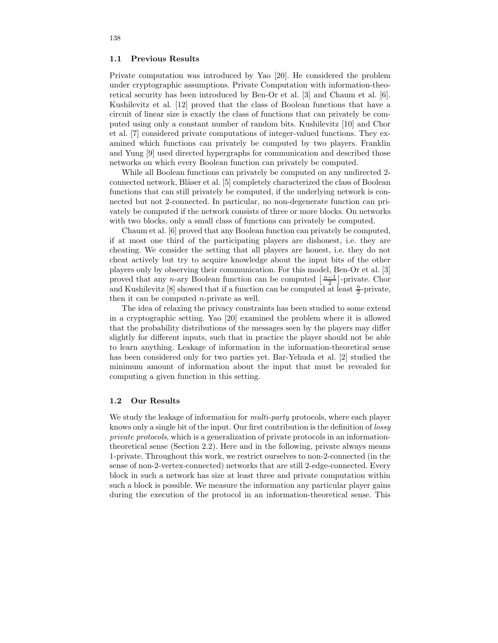#### 1.1 Previous Results

Private computation was introduced by Yao [20]. He considered the problem under cryptographic assumptions. Private Computation with information-theoretical security has been introduced by Ben-Or et al. [3] and Chaum et al. [6]. Kushilevitz et al. [12] proved that the class of Boolean functions that have a circuit of linear size is exactly the class of functions that can privately be computed using only a constant number of random bits. Kushilevitz [10] and Chor et al. [7] considered private computations of integer-valued functions. They examined which functions can privately be computed by two players. Franklin and Yung [9] used directed hypergraphs for communication and described those networks on which every Boolean function can privately be computed.

While all Boolean functions can privately be computed on any undirected 2 connected network, Bläser et al. [5] completely characterized the class of Boolean functions that can still privately be computed, if the underlying network is connected but not 2-connected. In particular, no non-degenerate function can privately be computed if the network consists of three or more blocks. On networks with two blocks, only a small class of functions can privately be computed.

Chaum et al. [6] proved that any Boolean function can privately be computed, if at most one third of the participating players are dishonest, i.e. they are cheating. We consider the setting that all players are honest, i.e. they do not cheat actively but try to acquire knowledge about the input bits of the other players only by observing their communication. For this model, Ben-Or et al. [3] proved that any *n*-ary Boolean function can be computed  $\left\lfloor \frac{n-1}{2} \right\rfloor$ -private. Chor and Kushilevitz [8] showed that if a function can be computed at least  $\frac{n}{2}$ -private, then it can be computed  $n$ -private as well.

The idea of relaxing the privacy constraints has been studied to some extend in a cryptographic setting. Yao [20] examined the problem where it is allowed that the probability distributions of the messages seen by the players may differ slightly for different inputs, such that in practice the player should not be able to learn anything. Leakage of information in the information-theoretical sense has been considered only for two parties yet. Bar-Yehuda et al. [2] studied the minimum amount of information about the input that must be revealed for computing a given function in this setting.

#### 1.2 Our Results

We study the leakage of information for *multi-party* protocols, where each player knows only a single bit of the input. Our first contribution is the definition of lossy private protocols, which is a generalization of private protocols in an informationtheoretical sense (Section 2.2). Here and in the following, private always means 1-private. Throughout this work, we restrict ourselves to non-2-connected (in the sense of non-2-vertex-connected) networks that are still 2-edge-connected. Every block in such a network has size at least three and private computation within such a block is possible. We measure the information any particular player gains during the execution of the protocol in an information-theoretical sense. This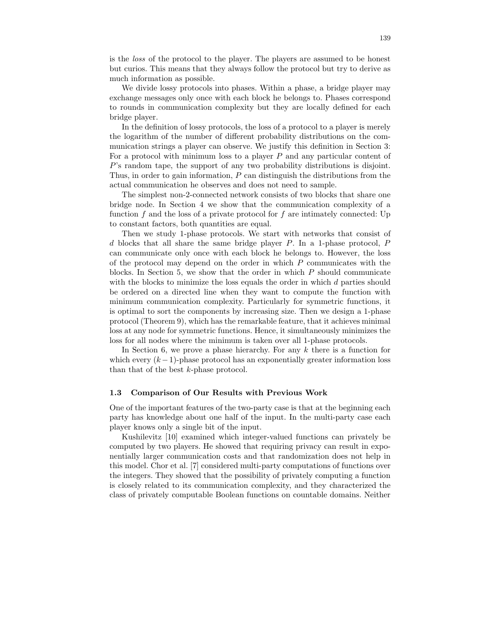is the loss of the protocol to the player. The players are assumed to be honest but curios. This means that they always follow the protocol but try to derive as much information as possible.

We divide lossy protocols into phases. Within a phase, a bridge player may exchange messages only once with each block he belongs to. Phases correspond to rounds in communication complexity but they are locally defined for each bridge player.

In the definition of lossy protocols, the loss of a protocol to a player is merely the logarithm of the number of different probability distributions on the communication strings a player can observe. We justify this definition in Section 3: For a protocol with minimum loss to a player P and any particular content of P's random tape, the support of any two probability distributions is disjoint. Thus, in order to gain information, P can distinguish the distributions from the actual communication he observes and does not need to sample.

The simplest non-2-connected network consists of two blocks that share one bridge node. In Section 4 we show that the communication complexity of a function  $f$  and the loss of a private protocol for  $f$  are intimately connected: Up to constant factors, both quantities are equal.

Then we study 1-phase protocols. We start with networks that consist of d blocks that all share the same bridge player P. In a 1-phase protocol, P can communicate only once with each block he belongs to. However, the loss of the protocol may depend on the order in which  $P$  communicates with the blocks. In Section 5, we show that the order in which  $P$  should communicate with the blocks to minimize the loss equals the order in which  $d$  parties should be ordered on a directed line when they want to compute the function with minimum communication complexity. Particularly for symmetric functions, it is optimal to sort the components by increasing size. Then we design a 1-phase protocol (Theorem 9), which has the remarkable feature, that it achieves minimal loss at any node for symmetric functions. Hence, it simultaneously minimizes the loss for all nodes where the minimum is taken over all 1-phase protocols.

In Section 6, we prove a phase hierarchy. For any  $k$  there is a function for which every  $(k-1)$ -phase protocol has an exponentially greater information loss than that of the best k-phase protocol.

#### 1.3 Comparison of Our Results with Previous Work

One of the important features of the two-party case is that at the beginning each party has knowledge about one half of the input. In the multi-party case each player knows only a single bit of the input.

Kushilevitz [10] examined which integer-valued functions can privately be computed by two players. He showed that requiring privacy can result in exponentially larger communication costs and that randomization does not help in this model. Chor et al. [7] considered multi-party computations of functions over the integers. They showed that the possibility of privately computing a function is closely related to its communication complexity, and they characterized the class of privately computable Boolean functions on countable domains. Neither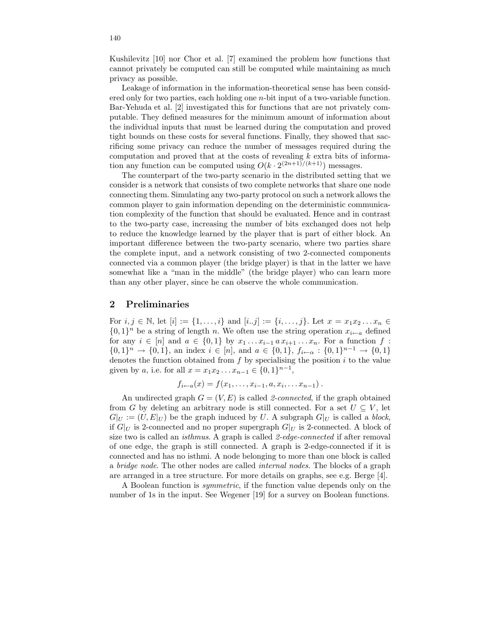Kushilevitz [10] nor Chor et al. [7] examined the problem how functions that cannot privately be computed can still be computed while maintaining as much privacy as possible.

Leakage of information in the information-theoretical sense has been considered only for two parties, each holding one n-bit input of a two-variable function. Bar-Yehuda et al. [2] investigated this for functions that are not privately computable. They defined measures for the minimum amount of information about the individual inputs that must be learned during the computation and proved tight bounds on these costs for several functions. Finally, they showed that sacrificing some privacy can reduce the number of messages required during the computation and proved that at the costs of revealing  $k$  extra bits of information any function can be computed using  $O(k \cdot 2^{(2n+1)/(k+1)})$  messages.

The counterpart of the two-party scenario in the distributed setting that we consider is a network that consists of two complete networks that share one node connecting them. Simulating any two-party protocol on such a network allows the common player to gain information depending on the deterministic communication complexity of the function that should be evaluated. Hence and in contrast to the two-party case, increasing the number of bits exchanged does not help to reduce the knowledge learned by the player that is part of either block. An important difference between the two-party scenario, where two parties share the complete input, and a network consisting of two 2-connected components connected via a common player (the bridge player) is that in the latter we have somewhat like a "man in the middle" (the bridge player) who can learn more than any other player, since he can observe the whole communication.

#### 2 Preliminaries

For  $i, j \in \mathbb{N}$ , let  $[i] := \{1, ..., i\}$  and  $[i..j] := \{i, ..., j\}$ . Let  $x = x_1 x_2 ... x_n \in$  $\{0,1\}^n$  be a string of length n. We often use the string operation  $x_{i \leftarrow a}$  defined for any  $i \in [n]$  and  $a \in \{0,1\}$  by  $x_1 \ldots x_{i-1} a x_{i+1} \ldots x_n$ . For a function  $f$ :  $\{0,1\}^n \to \{0,1\}$ , an index  $i \in [n]$ , and  $a \in \{0,1\}$ ,  $f_{i \leftarrow \alpha} : \{0,1\}^{n-1} \to \{0,1\}$ denotes the function obtained from  $f$  by specialising the position  $i$  to the value given by *a*, i.e. for all  $x = x_1 x_2 ... x_{n-1} \in \{0, 1\}^{n-1}$ ,

$$
f_{i \leftarrow a}(x) = f(x_1, \ldots, x_{i-1}, a, x_i, \ldots, x_{n-1}).
$$

An undirected graph  $G = (V, E)$  is called 2-connected, if the graph obtained from G by deleting an arbitrary node is still connected. For a set  $U \subseteq V$ , let  $G|_U := (U, E|_U)$  be the graph induced by U. A subgraph  $G|_U$  is called a block, if  $G|_U$  is 2-connected and no proper supergraph  $G|_U$  is 2-connected. A block of size two is called an isthmus. A graph is called 2-edge-connected if after removal of one edge, the graph is still connected. A graph is 2-edge-connected if it is connected and has no isthmi. A node belonging to more than one block is called a bridge node. The other nodes are called internal nodes. The blocks of a graph are arranged in a tree structure. For more details on graphs, see e.g. Berge [4].

A Boolean function is symmetric, if the function value depends only on the number of 1s in the input. See Wegener [19] for a survey on Boolean functions.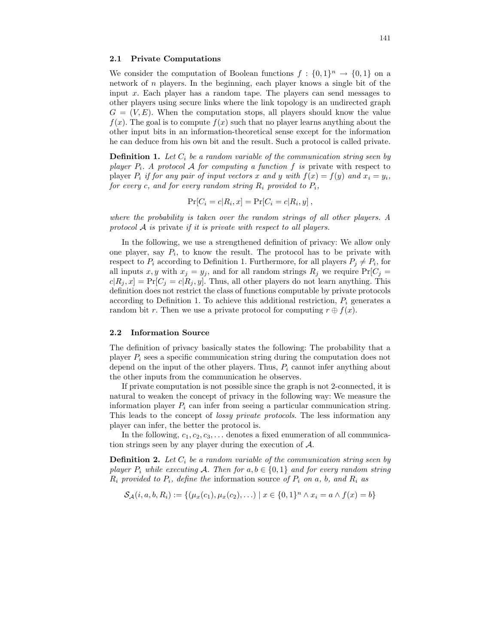#### 2.1 Private Computations

We consider the computation of Boolean functions  $f: \{0,1\}^n \to \{0,1\}$  on a network of  $n$  players. In the beginning, each player knows a single bit of the input x. Each player has a random tape. The players can send messages to other players using secure links where the link topology is an undirected graph  $G = (V, E)$ . When the computation stops, all players should know the value  $f(x)$ . The goal is to compute  $f(x)$  such that no player learns anything about the other input bits in an information-theoretical sense except for the information he can deduce from his own bit and the result. Such a protocol is called private.

**Definition 1.** Let  $C_i$  be a random variable of the communication string seen by player  $P_i$ . A protocol A for computing a function f is private with respect to player  $P_i$  if for any pair of input vectors x and y with  $f(x) = f(y)$  and  $x_i = y_i$ , for every c, and for every random string  $R_i$  provided to  $P_i$ ,

$$
Pr[C_i = c | R_i, x] = Pr[C_i = c | R_i, y],
$$

where the probability is taken over the random strings of all other players. A protocol A is private if it is private with respect to all players.

In the following, we use a strengthened definition of privacy: We allow only one player, say  $P_i$ , to know the result. The protocol has to be private with respect to  $P_i$  according to Definition 1. Furthermore, for all players  $P_j \neq P_i$ , for all inputs x, y with  $x_j = y_j$ , and for all random strings  $R_j$  we require  $Pr[C_j =$  $c[R_j, x] = Pr[C_j = c|R_j, y]$ . Thus, all other players do not learn anything. This definition does not restrict the class of functions computable by private protocols according to Definition 1. To achieve this additional restriction,  $P_i$  generates a random bit r. Then we use a private protocol for computing  $r \oplus f(x)$ .

#### 2.2 Information Source

The definition of privacy basically states the following: The probability that a player  $P_i$  sees a specific communication string during the computation does not depend on the input of the other players. Thus,  $P_i$  cannot infer anything about the other inputs from the communication he observes.

If private computation is not possible since the graph is not 2-connected, it is natural to weaken the concept of privacy in the following way: We measure the information player  $P_i$  can infer from seeing a particular communication string. This leads to the concept of lossy private protocols. The less information any player can infer, the better the protocol is.

In the following,  $c_1, c_2, c_3, \ldots$  denotes a fixed enumeration of all communication strings seen by any player during the execution of  $A$ .

**Definition 2.** Let  $C_i$  be a random variable of the communication string seen by player  $P_i$  while executing A. Then for  $a, b \in \{0, 1\}$  and for every random string  $R_i$  provided to  $P_i$ , define the information source of  $P_i$  on a, b, and  $R_i$  as

$$
\mathcal{S}_{\mathcal{A}}(i, a, b, R_i) := \{(\mu_x(c_1), \mu_x(c_2), \ldots) \mid x \in \{0, 1\}^n \land x_i = a \land f(x) = b\}
$$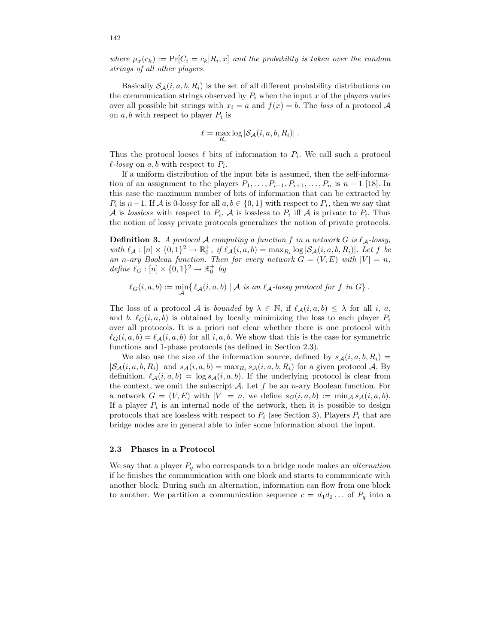where  $\mu_x(c_k) := \Pr[C_i = c_k | R_i, x]$  and the probability is taken over the random strings of all other players.

Basically  $S_A(i, a, b, R_i)$  is the set of all different probability distributions on the communication strings observed by  $P_i$  when the input x of the players varies over all possible bit strings with  $x_i = a$  and  $f(x) = b$ . The loss of a protocol A on  $a, b$  with respect to player  $P_i$  is

$$
\ell = \max_{R_i} \log |\mathcal{S}_{\mathcal{A}}(i, a, b, R_i)|.
$$

Thus the protocol looses  $\ell$  bits of information to  $P_i$ . We call such a protocol  $\ell$ -lossy on a, b with respect to  $P_i$ .

If a uniform distribution of the input bits is assumed, then the self-information of an assignment to the players  $P_1, \ldots, P_{i-1}, P_{i+1}, \ldots, P_n$  is  $n-1$  [18]. In this case the maximum number of bits of information that can be extracted by  $P_i$  is  $n-1$ . If A is 0-lossy for all  $a, b \in \{0, 1\}$  with respect to  $P_i$ , then we say that A is lossless with respect to  $P_i$ . A is lossless to  $P_i$  iff A is private to  $P_i$ . Thus the notion of lossy private protocols generalizes the notion of private protocols.

**Definition 3.** A protocol A computing a function f in a network G is  $\ell_A$ -lossy, with  $\ell_A : [n] \times \{0, 1\}^2 \to \mathbb{R}_0^+$ , if  $\ell_A(i, a, b) = \max_{R_i} \log |\mathcal{S}_{\mathcal{A}}(i, a, b, R_i)|$ . Let f be an n-ary Boolean function. Then for every network  $G = (V, E)$  with  $|V| = n$ , define  $\ell_G : [n] \times \{0, 1\}^2 \to \mathbb{R}_0^+$  by

 $\ell_G(i, a, b) := \min_{\mathcal{A}} \{ \ell_{\mathcal{A}}(i, a, b) \mid \mathcal{A} \text{ is an } \ell_{\mathcal{A}}\text{-lossy protocol for } f \text{ in } G \}.$ 

The loss of a protocol A is bounded by  $\lambda \in \mathbb{N}$ , if  $\ell_{\mathcal{A}}(i, a, b) \leq \lambda$  for all i, a, and b.  $\ell_G(i, a, b)$  is obtained by locally minimizing the loss to each player  $P_i$ over all protocols. It is a priori not clear whether there is one protocol with  $\ell_G(i, a, b) = \ell_A(i, a, b)$  for all i, a, b. We show that this is the case for symmetric functions and 1-phase protocols (as defined in Section 2.3).

We also use the size of the information source, defined by  $s_{\mathcal{A}}(i, a, b, R_i) =$  $|\mathcal{S}_{\mathcal{A}}(i,a,b,R_i)|$  and  $s_{\mathcal{A}}(i,a,b) = \max_{R_i} s_{\mathcal{A}}(i,a,b,R_i)$  for a given protocol A. By definition,  $\ell_A(i, a, b) = \log s_A(i, a, b)$ . If the underlying protocol is clear from the context, we omit the subscript  $A$ . Let f be an n-ary Boolean function. For a network  $G = (V, E)$  with  $|V| = n$ , we define  $s_G(i, a, b) := \min_A s_A(i, a, b)$ . If a player  $P_i$  is an internal node of the network, then it is possible to design protocols that are lossless with respect to  $P_i$  (see Section 3). Players  $P_i$  that are bridge nodes are in general able to infer some information about the input.

#### 2.3 Phases in a Protocol

We say that a player  $P_q$  who corresponds to a bridge node makes an *alternation* if he finishes the communication with one block and starts to communicate with another block. During such an alternation, information can flow from one block to another. We partition a communication sequence  $c = d_1 d_2 \ldots$  of  $P_q$  into a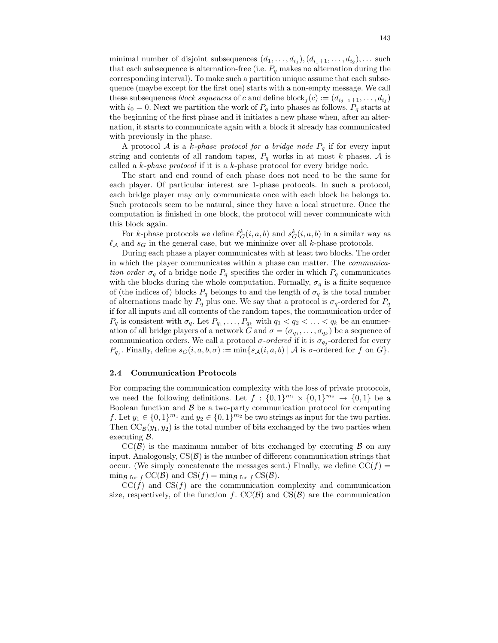minimal number of disjoint subsequences  $(d_1, \ldots, d_{i_1}), (d_{i_1+1}, \ldots, d_{i_2}), \ldots$  such that each subsequence is alternation-free (i.e.  $P_q$  makes no alternation during the corresponding interval). To make such a partition unique assume that each subsequence (maybe except for the first one) starts with a non-empty message. We call these subsequences *block sequences* of c and define  $block_j(c) := (d_{i_{j-1}+1}, \ldots, d_{i_j})$ with  $i_0 = 0$ . Next we partition the work of  $P_q$  into phases as follows.  $P_q$  starts at the beginning of the first phase and it initiates a new phase when, after an alternation, it starts to communicate again with a block it already has communicated with previously in the phase.

A protocol A is a k-phase protocol for a bridge node  $P_q$  if for every input string and contents of all random tapes,  $P_q$  works in at most k phases. A is called a k-phase protocol if it is a k-phase protocol for every bridge node.

The start and end round of each phase does not need to be the same for each player. Of particular interest are 1-phase protocols. In such a protocol, each bridge player may only communicate once with each block he belongs to. Such protocols seem to be natural, since they have a local structure. Once the computation is finished in one block, the protocol will never communicate with this block again.

For k-phase protocols we define  $\ell_G^k(i, a, b)$  and  $s_G^k(i, a, b)$  in a similar way as  $\ell_A$  and  $s_G$  in the general case, but we minimize over all k-phase protocols.

During each phase a player communicates with at least two blocks. The order in which the player communicates within a phase can matter. The communication order  $\sigma_q$  of a bridge node  $P_q$  specifies the order in which  $P_q$  communicates with the blocks during the whole computation. Formally,  $\sigma_q$  is a finite sequence of (the indices of) blocks  $P_q$  belongs to and the length of  $\sigma_q$  is the total number of alternations made by  $P_q$  plus one. We say that a protocol is  $\sigma_q$ -ordered for  $P_q$ if for all inputs and all contents of the random tapes, the communication order of  $P_q$  is consistent with  $\sigma_q$ . Let  $P_{q_1}, \ldots, P_{q_k}$  with  $q_1 < q_2 < \ldots < q_k$  be an enumeration of all bridge players of a network G and  $\sigma = (\sigma_{q_1}, \ldots, \sigma_{q_k})$  be a sequence of communication orders. We call a protocol  $\sigma$ -ordered if it is  $\sigma_{q_j}$ -ordered for every  $P_{q_j}$ . Finally, define  $s_G(i, a, b, \sigma) := \min\{s_A(i, a, b) \mid A \text{ is } \sigma\text{-ordered for } f \text{ on } G\}.$ 

#### 2.4 Communication Protocols

For comparing the communication complexity with the loss of private protocols, we need the following definitions. Let  $f: \{0,1\}^{m_1} \times \{0,1\}^{m_2} \rightarrow \{0,1\}$  be a Boolean function and  $\beta$  be a two-party communication protocol for computing f. Let  $y_1 \in \{0,1\}^{m_1}$  and  $y_2 \in \{0,1\}^{m_2}$  be two strings as input for the two parties. Then  $CC_{\mathcal{B}}(y_1, y_2)$  is the total number of bits exchanged by the two parties when executing B.

 $CC(\mathcal{B})$  is the maximum number of bits exchanged by executing  $\mathcal{B}$  on any input. Analogously,  $CS(\mathcal{B})$  is the number of different communication strings that occur. (We simply concatenate the messages sent.) Finally, we define  $CC(f)$  $\min_{\mathcal{B} \text{ for } f} CC(\mathcal{B}) \text{ and } CS(f) = \min_{\mathcal{B} \text{ for } f} CS(\mathcal{B}).$ 

 $CC(f)$  and  $CS(f)$  are the communication complexity and communication size, respectively, of the function f.  $\mathrm{CC}(\mathcal{B})$  and  $\mathrm{CS}(\mathcal{B})$  are the communication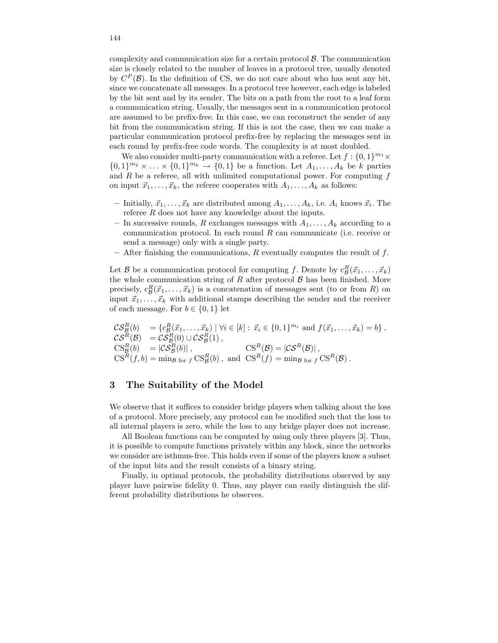complexity and communication size for a certain protocol  $\beta$ . The communication size is closely related to the number of leaves in a protocol tree, usually denoted by  $C^P(\mathcal{B})$ . In the definition of CS, we do not care about who has sent any bit, since we concatenate all messages. In a protocol tree however, each edge is labeled by the bit sent and by its sender. The bits on a path from the root to a leaf form a communication string. Usually, the messages sent in a communication protocol are assumed to be prefix-free. In this case, we can reconstruct the sender of any bit from the communication string. If this is not the case, then we can make a particular communication protocol prefix-free by replacing the messages sent in each round by prefix-free code words. The complexity is at most doubled.

We also consider multi-party communication with a referee. Let  $f: \{0, 1\}^{m_1} \times$  $\{0,1\}^{m_2} \times \ldots \times \{0,1\}^{m_k} \to \{0,1\}$  be a function. Let  $A_1, \ldots, A_k$  be k parties and  $R$  be a referee, all with unlimited computational power. For computing  $f$ on input  $\vec{x}_1, \ldots, \vec{x}_k$ , the referee cooperates with  $A_1, \ldots, A_k$  as follows:

- Initially,  $\vec{x}_1, \ldots, \vec{x}_k$  are distributed among  $A_1, \ldots, A_k$ , i.e.  $A_i$  knows  $\vec{x}_i$ . The referee R does not have any knowledge about the inputs.
- In successive rounds, R exchanges messages with  $A_1, \ldots, A_k$  according to a communication protocol. In each round  $R$  can communicate (i.e. receive or send a message) only with a single party.
- After finishing the communications, R eventually computes the result of  $f$ .

Let B be a communication protocol for computing f. Denote by  $c_{\mathcal{B}}^R(\vec{x}_1,\ldots,\vec{x}_k)$ the whole communication string of  $R$  after protocol  $\beta$  has been finished. More precisely,  $c_{\mathcal{B}}^R(\vec{x}_1,\ldots,\vec{x}_k)$  is a concatenation of messages sent (to or from R) on input  $\vec{x}_1, \ldots, \vec{x}_k$  with additional stamps describing the sender and the receiver of each message. For  $b \in \{0,1\}$  let

 $\mathcal{CS}_{\mathcal{B}}^{R}(b) = \{c_{\mathcal{B}}^{R}(\vec{x}_1,\ldots,\vec{x}_k) \mid \forall i \in [k] : \vec{x}_i \in \{0,1\}^{m_i} \text{ and } f(\vec{x}_1,\ldots,\vec{x}_k) = b\},\$  $\mathcal{CS}^{R}_{\:\raisebox{1pt}{\text{\circle*{1.5}}}}(\mathcal{B}) \quad = \mathcal{CS}^{R}_{\mathcal{B}}(0) \cup \mathcal{CS}^{R}_{\mathcal{B}}(1) \:,$  $\text{CS}_{\mathcal{B}}^R(b) \quad = |\mathcal{CS}_{\mathcal{B}}^R(b)| \,, \qquad \qquad \text{CS}_{\_}^R(\mathcal{B}) = |\mathcal{CS}^R(\mathcal{B})| \,,$  $\text{CS}^R(f, b) = \min_{\mathcal{B} \text{ for } f} \text{CS}^R_{\mathcal{B}}(b)$ , and  $\text{CS}^R(f) = \min_{\mathcal{B} \text{ for } f} \text{CS}^R(\mathcal{B})$ .

### 3 The Suitability of the Model

We observe that it suffices to consider bridge players when talking about the loss of a protocol. More precisely, any protocol can be modified such that the loss to all internal players is zero, while the loss to any bridge player does not increase.

All Boolean functions can be computed by using only three players [3]. Thus, it is possible to compute functions privately within any block, since the networks we consider are isthmus-free. This holds even if some of the players know a subset of the input bits and the result consists of a binary string.

Finally, in optimal protocols, the probability distributions observed by any player have pairwise fidelity 0. Thus, any player can easily distinguish the different probability distributions he observes.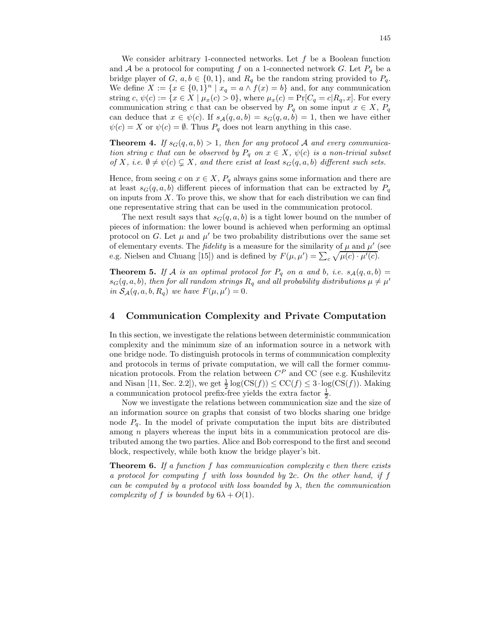We consider arbitrary 1-connected networks. Let  $f$  be a Boolean function and A be a protocol for computing f on a 1-connected network G. Let  $P_q$  be a bridge player of  $G, a, b \in \{0, 1\}$ , and  $R_q$  be the random string provided to  $P_q$ . We define  $X := \{x \in \{0,1\}^n \mid x_q = a \wedge f(x) = b\}$  and, for any communication string  $c, \psi(c) := \{x \in X \mid \mu_x(c) > 0\}$ , where  $\mu_x(c) = \Pr[C_q = c | R_q, x]$ . For every communication string c that can be observed by  $P_q$  on some input  $x \in X$ ,  $P_q$ can deduce that  $x \in \psi(c)$ . If  $s_{\mathcal{A}}(q, a, b) = s_{G}(q, a, b) = 1$ , then we have either  $\psi(c) = X$  or  $\psi(c) = \emptyset$ . Thus  $P_q$  does not learn anything in this case.

**Theorem 4.** If  $s_G(q, a, b) > 1$ , then for any protocol A and every communication string c that can be observed by  $P_q$  on  $x \in X$ ,  $\psi(c)$  is a non-trivial subset of X, i.e.  $\emptyset \neq \psi(c) \subsetneq X$ , and there exist at least  $s_G(q, a, b)$  different such sets.

Hence, from seeing c on  $x \in X$ ,  $P_q$  always gains some information and there are at least  $s_G(q, a, b)$  different pieces of information that can be extracted by  $P_q$ on inputs from  $X$ . To prove this, we show that for each distribution we can find one representative string that can be used in the communication protocol.

The next result says that  $s_G(q, a, b)$  is a tight lower bound on the number of pieces of information: the lower bound is achieved when performing an optimal protocol on G. Let  $\mu$  and  $\mu'$  be two probability distributions over the same set of elementary events. The *fidelity* is a measure for the similarity of  $\mu$  and  $\mu'$  (see e.g. Nielsen and Chuang [15]) and is defined by  $F(\mu, \mu') = \sum_{c} \sqrt{\mu(c) \cdot \mu'(c)}$ .

**Theorem 5.** If A is an optimal protocol for  $P_q$  on a and b, i.e.  $s_A(q, a, b) =$  $s_G(q, a, b)$ , then for all random strings  $R_q$  and all probability distributions  $\mu \neq \mu'$ in  $S_{\mathcal{A}}(q, a, b, R_q)$  we have  $F(\mu, \mu') = 0$ .

### 4 Communication Complexity and Private Computation

In this section, we investigate the relations between deterministic communication complexity and the minimum size of an information source in a network with one bridge node. To distinguish protocols in terms of communication complexity and protocols in terms of private computation, we will call the former communication protocols. From the relation between  $C^{P}$  and CC (see e.g. Kushilevitz and Nisan [11, Sec. 2.2]), we get  $\frac{1}{2} \log(\text{CS}(f)) \leq \text{CC}(f) \leq 3 \cdot \log(\text{CS}(f))$ . Making a communication protocol prefix-free yields the extra factor  $\frac{1}{2}$ .

Now we investigate the relations between communication size and the size of an information source on graphs that consist of two blocks sharing one bridge node  $P_q$ . In the model of private computation the input bits are distributed among n players whereas the input bits in a communication protocol are distributed among the two parties. Alice and Bob correspond to the first and second block, respectively, while both know the bridge player's bit.

**Theorem 6.** If a function f has communication complexity c then there exists a protocol for computing f with loss bounded by  $2c$ . On the other hand, if f can be computed by a protocol with loss bounded by  $\lambda$ , then the communication complexity of f is bounded by  $6\lambda + O(1)$ .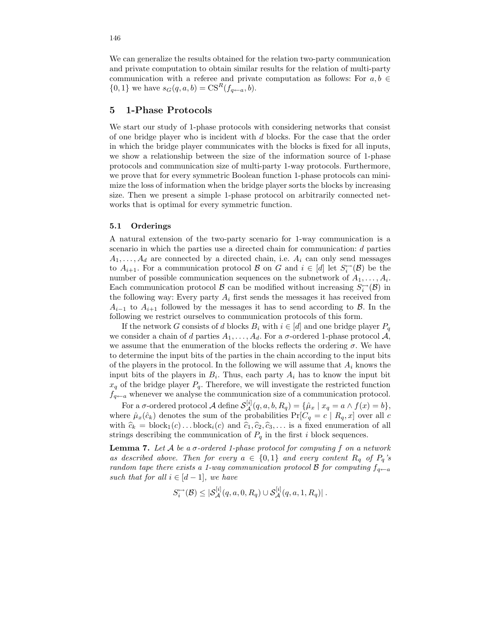We can generalize the results obtained for the relation two-party communication and private computation to obtain similar results for the relation of multi-party communication with a referee and private computation as follows: For  $a, b \in$  ${0, 1}$  we have  $s_G(q, a, b) = \text{CS}^R(f_{q \leftarrow a}, b)$ .

#### 5 1-Phase Protocols

We start our study of 1-phase protocols with considering networks that consist of one bridge player who is incident with d blocks. For the case that the order in which the bridge player communicates with the blocks is fixed for all inputs, we show a relationship between the size of the information source of 1-phase protocols and communication size of multi-party 1-way protocols. Furthermore, we prove that for every symmetric Boolean function 1-phase protocols can minimize the loss of information when the bridge player sorts the blocks by increasing size. Then we present a simple 1-phase protocol on arbitrarily connected networks that is optimal for every symmetric function.

#### 5.1 Orderings

A natural extension of the two-party scenario for 1-way communication is a scenario in which the parties use a directed chain for communication: d parties  $A_1, \ldots, A_d$  are connected by a directed chain, i.e.  $A_i$  can only send messages to  $A_{i+1}$ . For a communication protocol  $\mathcal{B}$  on G and  $i \in [d]$  let  $S_i^{\mapsto}(\mathcal{B})$  be the number of possible communication sequences on the subnetwork of  $A_1, \ldots, A_i$ . Each communication protocol  $\mathcal B$  can be modified without increasing  $S_i^{\mapsto}(\mathcal B)$  in the following way: Every party  $A_i$  first sends the messages it has received from  $A_{i-1}$  to  $A_{i+1}$  followed by the messages it has to send according to  $\beta$ . In the following we restrict ourselves to communication protocols of this form.

If the network G consists of d blocks  $B_i$  with  $i \in [d]$  and one bridge player  $P_q$ we consider a chain of d parties  $A_1, \ldots, A_d$ . For a  $\sigma$ -ordered 1-phase protocol  $\mathcal{A}$ , we assume that the enumeration of the blocks reflects the ordering  $\sigma$ . We have to determine the input bits of the parties in the chain according to the input bits of the players in the protocol. In the following we will assume that  $A_i$  knows the input bits of the players in  $B_i$ . Thus, each party  $A_i$  has to know the input bit  $x_q$  of the bridge player  $P_q$ . Therefore, we will investigate the restricted function  $f_{q \leftarrow a}$  whenever we analyse the communication size of a communication protocol.

For a  $\sigma$ -ordered protocol A define  $\mathcal{S}_{\mathcal{A}}^{[i]}(q, a, b, R_q) = \{ \hat{\mu}_x \mid x_q = a \wedge f(x) = b \},$ where  $\hat{\mu}_x(\hat{c}_k)$  denotes the sum of the probabilities  $Pr[C_q = c \mid R_q, x]$  over all c with  $\hat{c}_k = \text{block}_1(c) \dots \text{block}_i(c)$  and  $\hat{c}_1, \hat{c}_2, \hat{c}_3, \dots$  is a fixed enumeration of all strings describing the communication of  $P_q$  in the first i block sequences.

**Lemma 7.** Let  $A$  be a  $\sigma$ -ordered 1-phase protocol for computing  $f$  on a network as described above. Then for every  $a \in \{0,1\}$  and every content  $R_q$  of  $P_q$ 's random tape there exists a 1-way communication protocol B for computing  $f_{q \leftarrow a}$ such that for all  $i \in [d-1]$ , we have

$$
S_i^{\mapsto}(\mathcal{B}) \leq |\mathcal{S}_{\mathcal{A}}^{[i]}(q, a, 0, R_q) \cup \mathcal{S}_{\mathcal{A}}^{[i]}(q, a, 1, R_q)|.
$$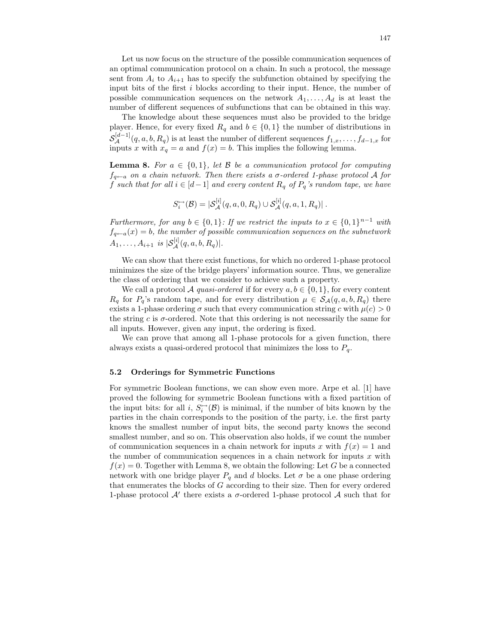Let us now focus on the structure of the possible communication sequences of an optimal communication protocol on a chain. In such a protocol, the message sent from  $A_i$  to  $A_{i+1}$  has to specify the subfunction obtained by specifying the input bits of the first  $i$  blocks according to their input. Hence, the number of possible communication sequences on the network  $A_1, \ldots, A_d$  is at least the number of different sequences of subfunctions that can be obtained in this way.

The knowledge about these sequences must also be provided to the bridge player. Hence, for every fixed  $R_q$  and  $b \in \{0,1\}$  the number of distributions in  $\mathcal{S}_{\mathcal{A}}^{[d-1]}(q,a,b,R_q)$  is at least the number of different sequences  $f_{1,x},\ldots,f_{d-1,x}$  for inputs x with  $x_q = a$  and  $f(x) = b$ . This implies the following lemma.

**Lemma 8.** For  $a \in \{0,1\}$ , let  $\beta$  be a communication protocol for computing  $f_{q\leftarrow a}$  on a chain network. Then there exists a  $\sigma$ -ordered 1-phase protocol A for f such that for all  $i \in [d-1]$  and every content  $R_q$  of  $P_q$ 's random tape, we have

$$
S_i^{\mapsto}(\mathcal{B}) = |\mathcal{S}_{\mathcal{A}}^{[i]}(q,a,0,R_q) \cup \mathcal{S}_{\mathcal{A}}^{[i]}(q,a,1,R_q)|.
$$

Furthermore, for any  $b \in \{0,1\}$ : If we restrict the inputs to  $x \in \{0,1\}^{n-1}$  with  $f_{q \leftarrow a}(x) = b$ , the number of possible communication sequences on the subnetwork  $A_1, \ldots, A_{i+1}$  is  $|S_{\mathcal{A}}^{[i]}(q, a, b, R_q)|$ .

We can show that there exist functions, for which no ordered 1-phase protocol minimizes the size of the bridge players' information source. Thus, we generalize the class of ordering that we consider to achieve such a property.

We call a protocol A quasi-ordered if for every  $a, b \in \{0, 1\}$ , for every content  $R_q$  for  $P_q$ 's random tape, and for every distribution  $\mu \in S_{\mathcal{A}}(q, a, b, R_q)$  there exists a 1-phase ordering  $\sigma$  such that every communication string c with  $\mu(c) > 0$ the string c is  $\sigma$ -ordered. Note that this ordering is not necessarily the same for all inputs. However, given any input, the ordering is fixed.

We can prove that among all 1-phase protocols for a given function, there always exists a quasi-ordered protocol that minimizes the loss to  $P_q$ .

#### 5.2 Orderings for Symmetric Functions

For symmetric Boolean functions, we can show even more. Arpe et al. [1] have proved the following for symmetric Boolean functions with a fixed partition of the input bits: for all *i*,  $S_i^{\mapsto}(\mathcal{B})$  is minimal, if the number of bits known by the parties in the chain corresponds to the position of the party, i.e. the first party knows the smallest number of input bits, the second party knows the second smallest number, and so on. This observation also holds, if we count the number of communication sequences in a chain network for inputs x with  $f(x) = 1$  and the number of communication sequences in a chain network for inputs  $x$  with  $f(x) = 0$ . Together with Lemma 8, we obtain the following: Let G be a connected network with one bridge player  $P_q$  and d blocks. Let  $\sigma$  be a one phase ordering that enumerates the blocks of G according to their size. Then for every ordered 1-phase protocol  $\mathcal{A}'$  there exists a  $\sigma$ -ordered 1-phase protocol  $\mathcal{A}$  such that for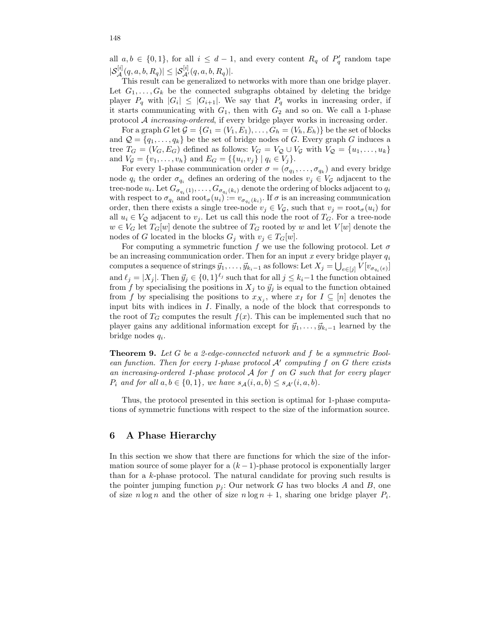all  $a, b \in \{0, 1\}$ , for all  $i \leq d - 1$ , and every content  $R_q$  of  $P'_q$  random tape  $|\mathcal{S}_{\mathcal{A}}^{[i]}(q,a,b,R_q)| \leq |\mathcal{S}_{\mathcal{A}'}^{[i]}(q,a,b,R_q)|.$ 

This result can be generalized to networks with more than one bridge player. Let  $G_1, \ldots, G_k$  be the connected subgraphs obtained by deleting the bridge player  $P_q$  with  $|G_i| \leq |G_{i+1}|$ . We say that  $P_q$  works in increasing order, if it starts communicating with  $G_1$ , then with  $G_2$  and so on. We call a 1-phase protocol A increasing-ordered, if every bridge player works in increasing order.

For a graph G let  $G = \{G_1 = (V_1, E_1), \ldots, G_h = (V_h, E_h)\}\$ be the set of blocks and  $\mathcal{Q} = \{q_1, \ldots, q_k\}$  be the set of bridge nodes of G. Every graph G induces a tree  $T_G = (V_G, E_G)$  defined as follows:  $V_G = V_Q \cup V_G$  with  $V_Q = \{u_1, \ldots, u_k\}$ and  $V_{\mathcal{G}} = \{v_1, \ldots, v_h\}$  and  $E_G = \{\{u_i, v_j\} \mid q_i \in V_j\}.$ 

For every 1-phase communication order  $\sigma = (\sigma_{q_1}, \ldots, \sigma_{q_k})$  and every bridge node  $q_i$  the order  $\sigma_{q_i}$  defines an ordering of the nodes  $v_j \in V_{\mathcal{G}}$  adjacent to the tree-node  $u_i$ . Let  $G_{\sigma_{q_i}(1)}, \ldots, G_{\sigma_{q_i}(k_i)}$  denote the ordering of blocks adjacent to  $q_i$ with respect to  $\sigma_{q_i}$  and  $\text{root}_{\sigma}(u_i) := v_{\sigma_{q_i}(k_i)}$ . If  $\sigma$  is an increasing communication order, then there exists a single tree-node  $v_j \in V_{\mathcal{G}}$ , such that  $v_j = \text{root}_{\sigma}(u_i)$  for all  $u_i \in V_Q$  adjacent to  $v_j$ . Let us call this node the root of  $T_G$ . For a tree-node  $w \in V_G$  let  $T_G[w]$  denote the subtree of  $T_G$  rooted by w and let  $V[w]$  denote the nodes of G located in the blocks  $G_j$  with  $v_j \in T_G[w]$ .

For computing a symmetric function f we use the following protocol. Let  $\sigma$ be an increasing communication order. Then for an input x every bridge player  $q_i$ computes a sequence of strings  $\vec{y}_1, \ldots, \vec{y}_{k_i-1}$  as follows: Let  $X_j = \bigcup_{e \in [j]} V[v_{\sigma_{q_i}(e)}]$ and  $\ell_j = |X_j|$ . Then  $\vec{y}_j \in \{0,1\}^{\ell_j}$  such that for all  $j \leq k_i-1$  the function obtained from f by specialising the positions in  $X_j$  to  $\vec{y}_j$  is equal to the function obtained from f by specialising the positions to  $x_{X_j}$ , where  $x_I$  for  $I \subseteq [n]$  denotes the input bits with indices in I. Finally, a node of the block that corresponds to the root of  $T_G$  computes the result  $f(x)$ . This can be implemented such that no player gains any additional information except for  $\vec{y}_1, \ldots, \vec{y}_{k_i-1}$  learned by the bridge nodes  $q_i$ .

**Theorem 9.** Let G be a 2-edge-connected network and f be a symmetric Boolean function. Then for every 1-phase protocol  $A'$  computing f on G there exists an increasing-ordered 1-phase protocol A for f on G such that for every player  $P_i$  and for all  $a, b \in \{0, 1\}$ , we have  $s_{\mathcal{A}}(i, a, b) \leq s_{\mathcal{A}'}(i, a, b)$ .

Thus, the protocol presented in this section is optimal for 1-phase computations of symmetric functions with respect to the size of the information source.

### 6 A Phase Hierarchy

In this section we show that there are functions for which the size of the information source of some player for a  $(k-1)$ -phase protocol is exponentially larger than for a k-phase protocol. The natural candidate for proving such results is the pointer jumping function  $p_i$ : Our network G has two blocks A and B, one of size  $n \log n$  and the other of size  $n \log n + 1$ , sharing one bridge player  $P_i$ .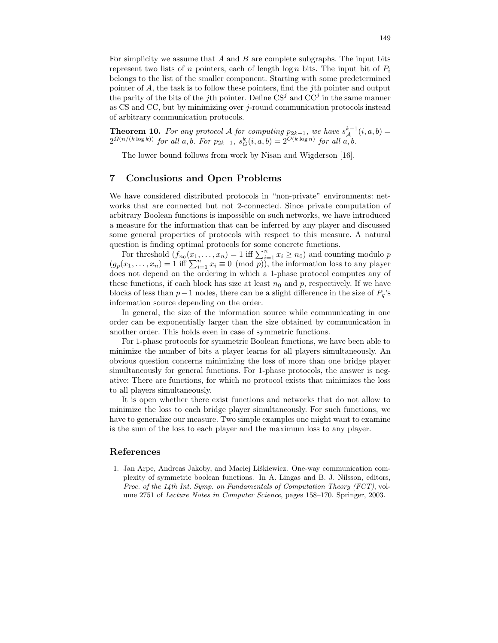For simplicity we assume that  $A$  and  $B$  are complete subgraphs. The input bits represent two lists of n pointers, each of length  $\log n$  bits. The input bit of  $P_i$ belongs to the list of the smaller component. Starting with some predetermined pointer of  $A$ , the task is to follow these pointers, find the *j*th pointer and output the parity of the bits of the *j*th pointer. Define  $CS^j$  and  $CC^j$  in the same manner as CS and CC, but by minimizing over j-round communication protocols instead of arbitrary communication protocols.

**Theorem 10.** For any protocol A for computing  $p_{2k-1}$ , we have  $s_{\mathcal{A}}^{k-1}(i, a, b) =$  $2^{\Omega(n/(k\log k))}$  for all  $a, b$ . For  $p_{2k-1}, s_G^k(i, a, b) = 2^{O(k\log n)}$  for all  $a, b$ .

The lower bound follows from work by Nisan and Wigderson [16].

## 7 Conclusions and Open Problems

We have considered distributed protocols in "non-private" environments: networks that are connected but not 2-connected. Since private computation of arbitrary Boolean functions is impossible on such networks, we have introduced a measure for the information that can be inferred by any player and discussed some general properties of protocols with respect to this measure. A natural question is finding optimal protocols for some concrete functions.

For threshold  $(f_{n_0}(x_1,\ldots,x_n)=1$  iff  $\sum_{i=1}^n x_i \geq n_0)$  and counting modulo p  $(g_p(x_1, \ldots, x_n) = 1$  iff  $\sum_{i=1}^n x_i \equiv 0 \pmod{p}$ , the information loss to any player does not depend on the ordering in which a 1-phase protocol computes any of these functions, if each block has size at least  $n_0$  and p, respectively. If we have blocks of less than  $p-1$  nodes, there can be a slight difference in the size of  $P<sub>q</sub>$ 's information source depending on the order.

In general, the size of the information source while communicating in one order can be exponentially larger than the size obtained by communication in another order. This holds even in case of symmetric functions.

For 1-phase protocols for symmetric Boolean functions, we have been able to minimize the number of bits a player learns for all players simultaneously. An obvious question concerns minimizing the loss of more than one bridge player simultaneously for general functions. For 1-phase protocols, the answer is negative: There are functions, for which no protocol exists that minimizes the loss to all players simultaneously.

It is open whether there exist functions and networks that do not allow to minimize the loss to each bridge player simultaneously. For such functions, we have to generalize our measure. Two simple examples one might want to examine is the sum of the loss to each player and the maximum loss to any player.

#### References

1. Jan Arpe, Andreas Jakoby, and Maciej Liśkiewicz. One-way communication complexity of symmetric boolean functions. In A. Lingas and B. J. Nilsson, editors, Proc. of the 14th Int. Symp. on Fundamentals of Computation Theory (FCT), volume 2751 of Lecture Notes in Computer Science, pages 158–170. Springer, 2003.